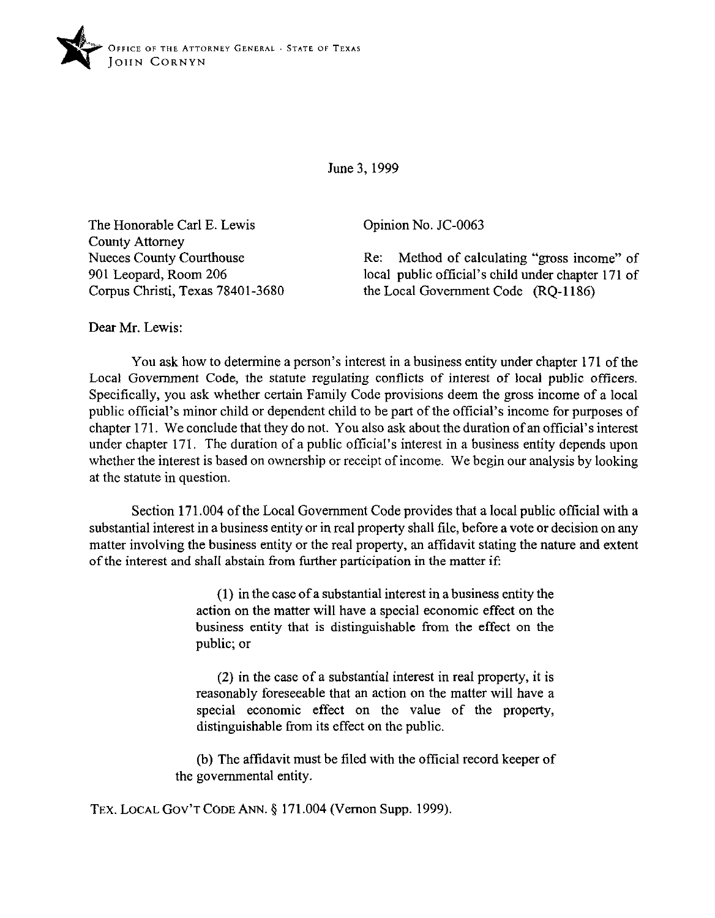

June 3.1999

The Honorable Carl E. Lewis County Attorney Nueces County Courthouse 901 Leopard, Room 206 Corpus Christi, Texas 78401-3680 Opinion No. JC-0063

Re: Method of calculating "gross income" of local public official's child under chapter 171 of the Local Government Code  $(RO-1186)$ 

Dear Mr. Lewis:

You ask how to determine a person's interest in a business entity under chapter 171 of the Local Government Code, the statute regulating conflicts of interest of local public officers. Specifically, you ask whether certain Family Code provisions deem the gross income of a local public official's minor child or dependent child to be part of the official's income for purposes of chapter 171. We conclude that they do not. You also ask about the duration of an official's interest under chapter 171. The duration of a public official's interest in a business entity depends upon whether the interest is based on ownership or receipt of income. We begin our analysis by looking at the statute in question.

Section 171.004 of the Local Government Code provides that a local public official with a substantial interest in a business entity or in real property shall tile, before a vote or decision on any matter involving the business entity or the real property, an afftdavit stating the nature and extent of the interest and shall abstain from further participation in the matter if:

> (1) in the case of a substantial interest in a business entity the action on the matter will have a special economic effect on the business entity that is distinguishable from the effect on the public; or

> (2) in the case of a substantial interest in real property, it is reasonably foreseeable that an action on the matter will have a special economic effect on the value of the property, distinguishable from its effect on the public.

(b) The affidavit must be filed with the official record keeper of the governmental entity.

TEX. LOCAL GOV'T CODE ANN. § 171.004 (Vernon Supp. 1999).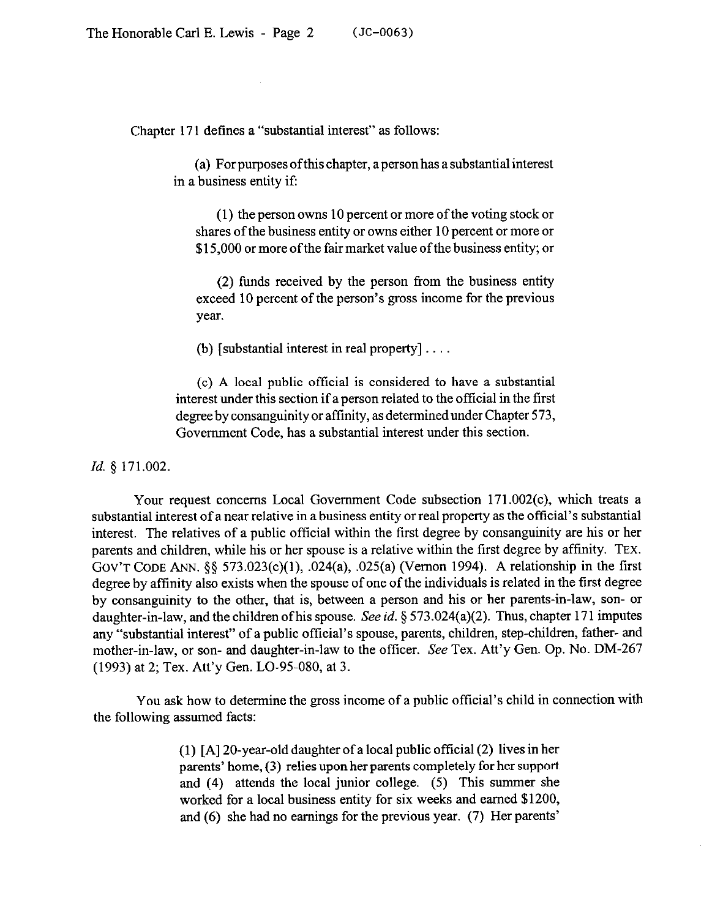Chapter 171 defines a "substantial interest" aa follows:

(a) For purposes ofthis chapter, a person has a substantial interest in a business entity if:

(1) the person owns 10 percent or more of the voting stock or shares of the business entity or owns either 10 percent or more or \$15,000 or more of the fair market value of the business entity; or

(2) funds received by the person from the business entity exceed 10 percent of the person's gross income for the previous year.

(b) [substantial interest in real property]  $\ldots$ .

(c) A local public official is considered to have a substantial interest under this section if a person related to the official in the first degree by consanguinity or affinity, as determined under Chapter 573, Government Code, has a substantial interest under this section.

*Id. 5* 171.002.

Your request concerns Local Government Code subsection 171.002(c), which treats a substantial interest of a near relative in a business entity or real property as the official's substantial interest. The relatives of a public official within the first degree by consanguinity are his or her parents and children, while his or her spouse is a relative within the first degree by affinity. **TEX. GOV'T CODE** ANN. \$5 573.023(c)(l), .024(a), .025(a) (Vernon 1994). A relationship in the first degree by affinity also exists when the spouse of one of the individuals is related in the first degree by consanguinity to the other, that is, between a person and his or her parents-in-law, son- or daughter-in-law, and the children ofhis spouse. See *id.* 5 573.024(a)(2). Thus, chapter 171 imputes any "substantial interest" of a public official's spouse, parents, children, step-children, father- and mother-in-law, or son- and daughter-in-law to the officer. See Tex. Att'y Gen. Op. No. DM-267 (1993) at 2; Tex. Att'y Gen. LO-95-080, at 3.

You ask how to determine the gross income of a public official's child in connection with the following assumed facts:

> (1) [A] 20-year-old daughter of a local public official (2) lives in her parents' home, (3) relies upon her parents completely for her support and (4) attends the local junior college. (5) This summer she worked for a local business entity for six weeks and earned \$1200, and (6) she had no earnings for the previous year. (7) Her parents'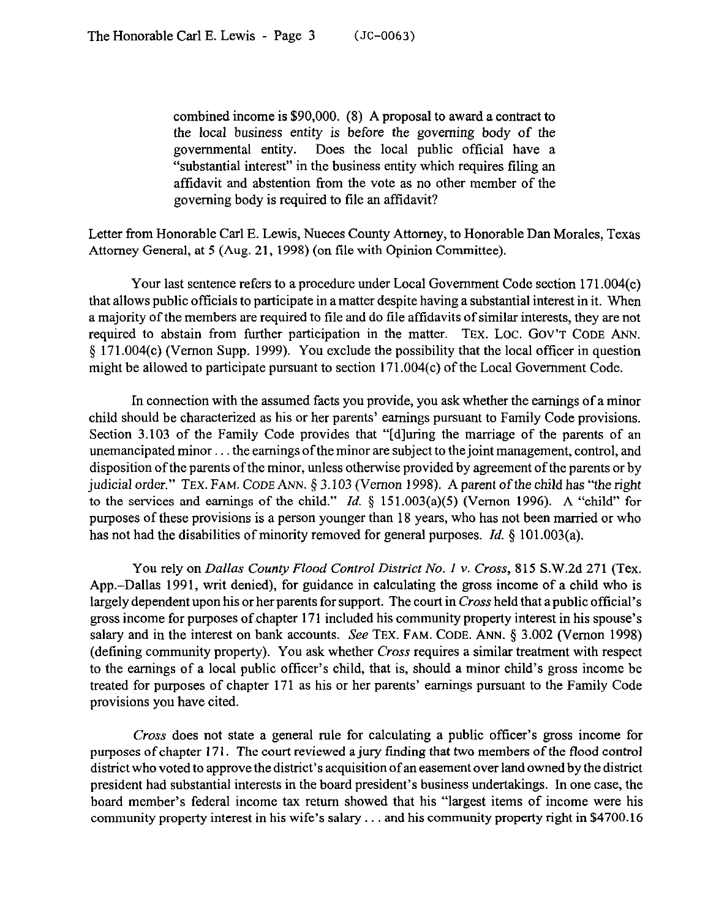combined income is \$90,000. (8) A proposal to award a contract to the local business entity is before the governing body of the governmental entity. Does the local public official have a "substantial interest" in the business entity which requires filing an affidavit and abstention from the vote as no other member of the governing body is required to file an affidavit?

Letter from Honorable Carl E. Lewis, Nueces County Attorney, to Honorable Dan Morales, Texas Attorney General, at 5 (Aug. 21, 1998) (on tile with Opinion Committee).

Your last sentence refers to a procedure under Local Government Code section 171.004(c) that allows public offtcials to participate in a matter despite having a substantial interest in it. When a majority of the members are required to tile and do tile affidavits of similar interests, they are not required to abstain from further participation in the matter. TEX. LOC. GOV'T CODE ANN. 5 171.004(c) (Vernon Supp. 1999). You exclude the possibility that the local officer in question might be allowed to participate pursuant to section 171.004(c) of the Local Government Code.

In connection with the assumed facts you provide, you ask whether the earnings of a minor child should be characterized as his or her parents' earnings pursuant to Family Code provisions. Section 3.103 of the Family Code provides that "[d]uring the marriage of the parents of an unemancipated minor... the earnings of the minor are subject to the joint management, control, and disposition of the parents of the minor, unless otherwise provided by agreement of the parents or by judicial order." TEX. FAM. CODE ANN. § 3.103 (Vernon 1998). A parent of the child has "the right to the services and earnings of the child." *Id.* 5 151.003(a)(5) (Vernon 1996). A "child" for purposes of these provisions is a person younger than 18 years, who has not been married or who has not had the disabilities of minority removed for general purposes. *Id.* § 101.003(a).

*You* rely on *Dallas County Flood Control District No. I Y. Cross,* 815 S.W.2d 271 (Tex. App.-Dallas 1991, writ denied), for guidance in calculating the gross income of a child who is largely dependent upon his or her parents for support. The court in Cross held that a public official's gross income for purposes of.chapter 171 included his community property interest in his spouse's salary and in the interest on bank accounts. See TEX. FAM. CODE. ANN. § 3.002 (Vernon 1998) (defining community property). You ask whether *Cross* requires a similar treatment with respect to the earnings of a local public officer's child, that is, should a minor child's gross income be treated for purposes of chapter 171 as his or her parents' earnings pursuant to the Family Code provisions you have cited.

Cross does not state a general rule for calculating a public offrcer's gross income for purposes of chapter 171. The court reviewed a jury finding that two members of the flood control district who voted to approve the district's acquisition of an easement over land owned by the district president had substantial interests in the board president's business undertakings. In one case, the board member's federal income tax return showed that his "largest items of income were his community property interest in his wife's salary  $\dots$  and his community property right in \$4700.16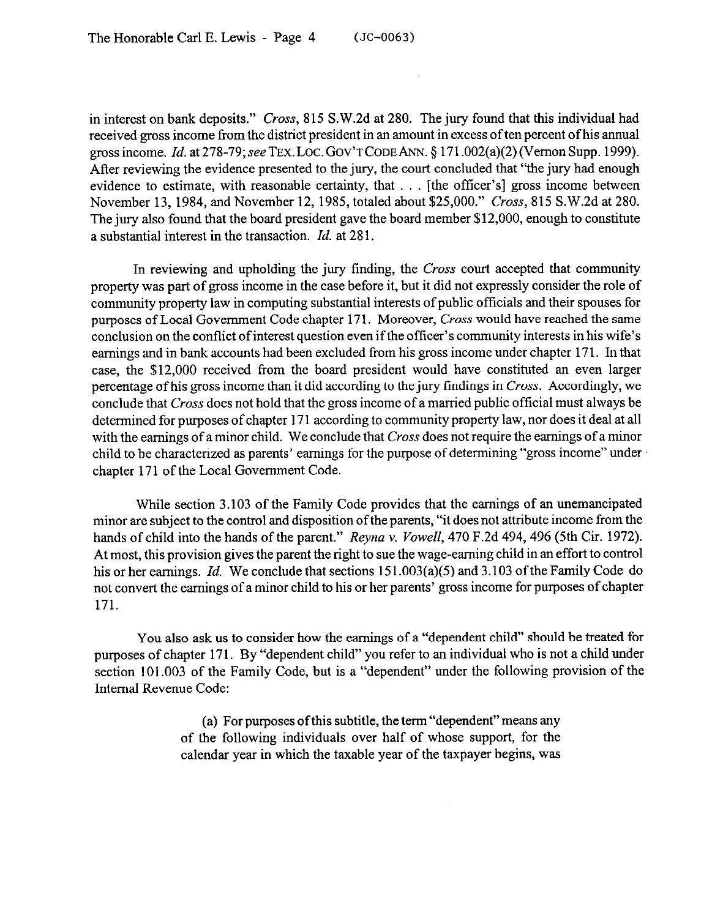in interest on bank deposits." Cross, 815 S.W.2d at 280. The jury found that this individual had received gross income from the district president in an amount in excess of ten percent of his annual gross income. *Id.* **at** *278-79;* **seeTEX.LOC.GOV'TCODEhN.** \$ 171.002(a)(2) (Vernon Supp. 1999). After reviewing the evidence presented to the jury, the court concluded that "the jury had enough evidence to estimate, with reasonable certainty, that  $\ldots$  [the officer's] gross income between November 13, 1984, and November 12, 1985, totaled about \$25,000." Cross, 815 S.W.2d at 280. The jury also found that the board president gave the board member \$12,000, enough to constitute a substantial interest in the transaction. *Id.* at 28 1.

In reviewing and upholding the jury finding, the *Cross* court accepted that community property was part of gross income in the case before it, but it did not expressly consider the role of community property law in computing substantial interests of public officials and their spouses for purposes of Local Government Code chapter 171. Moreover, Cross would have reached the same conclusion on the conflict of interest question even if the officer's community interests in his wife's earnings and in bank accounts had been excluded from his gross income under chapter 171. In that case, the \$12,000 received from the board president would have constituted an even larger percentage ofhis gross income than it did according to the jury findings in Cross. Accordingly, we conclude that Cross does not hold that the gross income of a married public official must always be determined for purposes of chapter 171 according to community property law, nor does it deal at all with the earnings of a minor child. We conclude that *Cross* does not require the earnings of a minor child to be characterized as parents' earnings for the purpose of determining "gross income" under chapter 171 of the Local Government Code.

While section 3.103 of the Family Code provides that the earnings of an unemancipated minor are subject to the control and disposition of the parents, "it does not attribute income from the hands of child into the hands of the parent." *Reyna v. Vowell*, 470 F.2d 494, 496 (5th Cir. 1972). At most, this provision gives the parent the right to sue the wage-earning child in an effort to control his or her earnings. *Id.* We conclude that sections 151.003(a)(5) and 3.103 of the Family Code do not convert the earnings of a minor child to his or her parents' gross income for purposes of chapter 171.

You also ask us to consider how the earnings of a "dependent child" should be treated for purposes of chapter 171. By "dependent child" you refer to an individual who is not a child under section 101.003 of the Family Code, but is a "dependent" under the following provision of the Internal Revenue Code:

> (a) For purposes ofthis subtitle, the term "dependent"means any of the following individuals over half of whose support, for the calendar year in which the taxable year of the taxpayer begins, was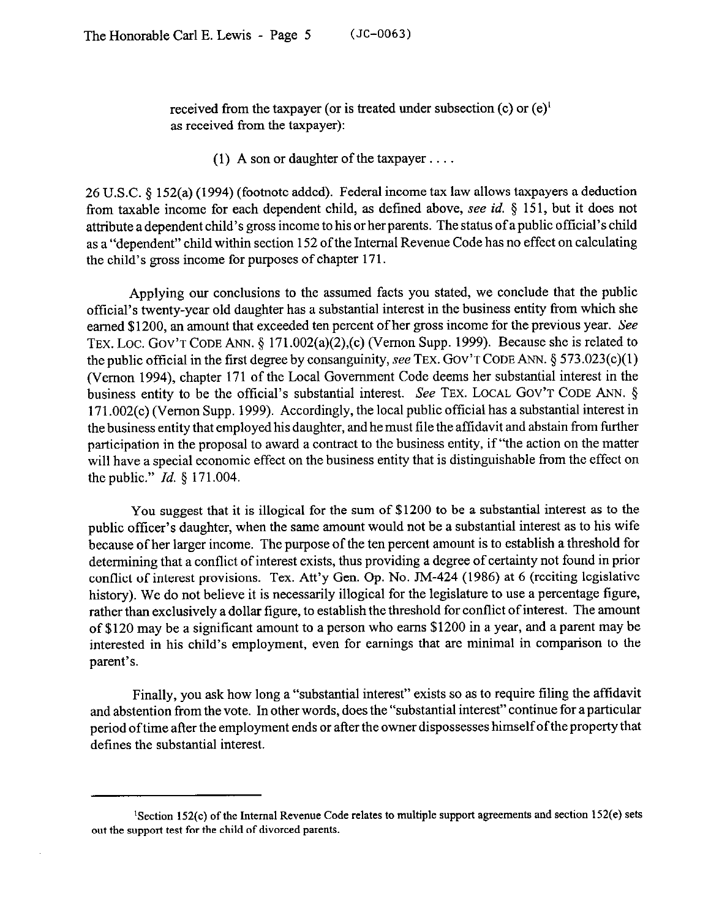received from the taxpayer (or is treated under subsection  $(c)$  or  $(e)^1$ as received from the taxpayer):

(1) A son or daughter of the taxpayer  $\dots$ 

26 U.S.C. 9 152(a) (1994) (footnote added). Federal income tax law allows taxpayers a deduction from taxable income for each dependent child, as defined above, see *id.* § 151, but it does not attribute a dependent child's gross income to his or her parents. The status of a public official's child as a "dependent" child within section 152 of the Internal Revenue Code has no effect on calculating the child's gross income for purposes of chapter 171.

Applying our conclusions to the assumed facts you stated, we conclude that the public official's twenty-year old daughter has a substantial interest in the business entity from which she earned \$1200, an amount that exceeded ten percent of her gross income for the previous year. See TEX. LOC. GOV'T CODE ANN. § 171.002(a)(2),(c) (Vernon Supp. 1999). Because she is related to the public official in the first degree by consanguinity, see **TEX. GOV'T CODE ANN. 5 573.023(c)(l)**  (Vernon 1994), chapter 171 of the Local Government Code deems her substantial interest in the business entity to be the official's substantial interest. See **TEX. LOCAL GOV'T CODE ANN. 5**  171.002(c) (Vernon Supp. 1999). Accordingly, the local public official has a substantial interest in the business entity that employed his daughter, and he must tile the affidavit and abstain from further participation in the proposal to award a contract to the business entity, if "the action on the matter will have a special economic effect on the business entity that is distinguishable from the effect on the public." *Id. 5* 171.004.

You suggest that it is illogical for the sum of \$1200 to be a substantial interest as to the public officer's daughter, when the same amount would not be a substantial interest as to his wife because of her larger income. The purpose of the ten percent amount is to establish a threshold for determining that a conflict of interest exists, thus providing a degree of certainty not found in prior conflict of interest provisions. Tex. Att'y Gen. Op. No. JM-424 (1986) at 6 (reciting legislative history). We do not believe it is necessarily illogical for the legislature to use a percentage figure, rather than exclusively a dollar figure, to establish the threshold for conflict of interest. The amount of \$120 may be a significant amount to a person who earns \$1200 in a year, and a parent may be interested in his child's employment, even for earnings that are minimal in comparison to the parent's,

Finally, you ask how long a "substantial interest" exists so as to require filing the affidavit and abstention from the vote. In other words, does the "substantial interest" continue for a particular period of time after the employment ends or after the owner dispossesses himself ofthe property that defines the substantial interest.

**<sup>&#</sup>x27;Section 152(c) of the Internal Revenue Code relates to multiple support agreements and section 152(e) sets cut the support test for the child of divorced parents.**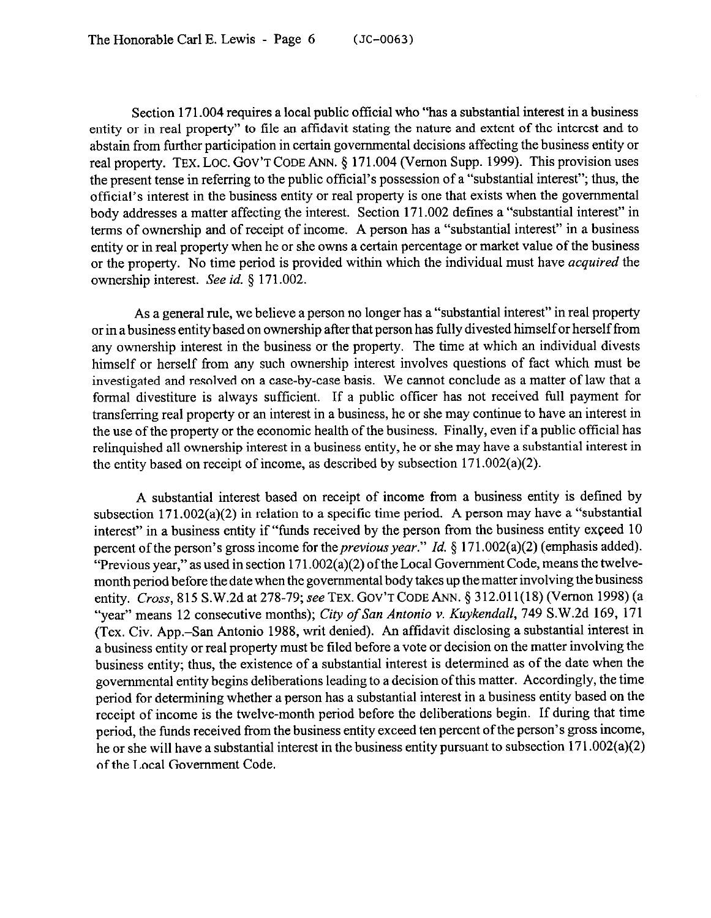Section 171.004 requires a local public official who "has a substantial interest in a business entity or in real property" to tile an affidavit stating the nature and extent of the interest and to abstain from further participation in certain governmental decisions affecting the business entity or real property. TEX. LOC. GOV'T CODE ANN. § 171.004 (Vernon Supp. 1999). This provision uses the present tense in referring to the public official's possession of a "substantial interest"; thus, the official's interest in the business entity or real property is one that exists when the governmental body addresses a matter affecting the interest. Section 171.002 defines a "substantial interest" in terms of ownership and of receipt of income. A person has a "substantial interest" in a business entity or in real property when he or she owns a certain percentage or market value of the business or the property. No time period is provided within which the individual must have *acquired* the ownership interest. See *id. 3* 171.002.

As a general rule, we believe a person no longer has a "substantial interest" in real property or in a business entity based on ownership after that person has fully divested himself or herself from any ownership interest in the business or the property. The time at which an individual divests himself or herself from any such ownership interest involves questions of fact which must be investigated and resolved on a case-by-case basis. We cannot conclude as a matter of law that a formal divestiture is always sufficient. If a public officer has not received full payment for transferring real property or an interest in a business, he or she may continue to have an interest in the use of the property or the economic health of the business. Finally, even if a public official has relinquished all ownership interest in a business entity, he or she may have a substantial interest in the entity based on receipt of income, as described by subsection 171.002(a)(2).

A substantial interest based on receipt of income from a business entity is defined by subsection 171.002(a)(2) in relation to a specific time period. A person may have a "substantial interest" in a business entity if "funds received by the person from the business entity exceed 10 percent of the person's gross income for the *previous year.*" *Id.* § 171.002(a)(2) (emphasis added). "Previous year," as used in section 171.002(a)(2) of the Local Government Code, means the twelvemonth period before the date when the governmental body takes up the matter involving the business entity. *Cross,* **815 S.W.2d** at 278-79; see **TEX. GOV'TCODEANN.** 5 312.01 l(18) (Vernon 1998) (a "year" means 12 consecutive months); *Cify of San Antonio v. Kuykendall, 749* S.W.2d 169, 171 (Tex. Civ. App.-San Antonio 1988, writ denied). An affidavit disclosing a substantial interest in a business entity or real property must be tiled before a vote or decision on the matter involving the business entity; thus, the existence of a substantial interest is determined as of the date when the governmental entity begins deliberations leading to a decision ofthis matter. Accordingly, the time period for determining whether a person has a substantial interest in a business entity based on the receipt of income is the twelve-month period before the deliberations begin. If during that time period, the funds received from the business entity exceed ten percent of the person's gross income, he or she will have a substantial interest in the business entity pursuant to subsection 171.002(a)(2) of the Local Government Code.